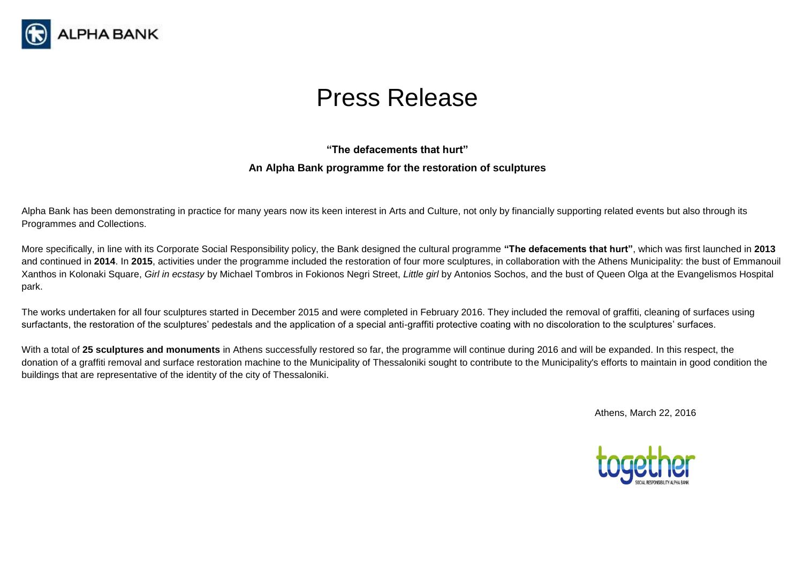

## Press Release

## **"The defacements that hurt" An Alpha Bank programme for the restoration of sculptures**

Alpha Bank has been demonstrating in practice for many years now its keen interest in Arts and Culture, not only by financially supporting related events but also through its Programmes and Collections.

More specifically, in line with its Corporate Social Responsibility policy, the Bank designed the cultural programme **"The defacements that hurt"**, which was first launched in **2013** and continued in **2014**. In **2015**, activities under the programme included the restoration of four more sculptures, in collaboration with the Athens Municipality: the bust of Emmanouil Xanthos in Kolonaki Square, *Girl in ecstasy* by Michael Tombros in Fokionos Negri Street, *Little girl* by Antonios Sochos, and the bust of Queen Olga at the Evangelismos Hospital park.

The works undertaken for all four sculptures started in December 2015 and were completed in February 2016. They included the removal of graffiti, cleaning of surfaces using surfactants, the restoration of the sculptures' pedestals and the application of a special anti-graffiti protective coating with no discoloration to the sculptures' surfaces.

With a total of 25 sculptures and monuments in Athens successfully restored so far, the programme will continue during 2016 and will be expanded. In this respect, the donation of a graffiti removal and surface restoration machine to the Municipality of Thessaloniki sought to contribute to the Municipality's efforts to maintain in good condition the buildings that are representative of the identity of the city of Thessaloniki.

Athens, March 22, 2016